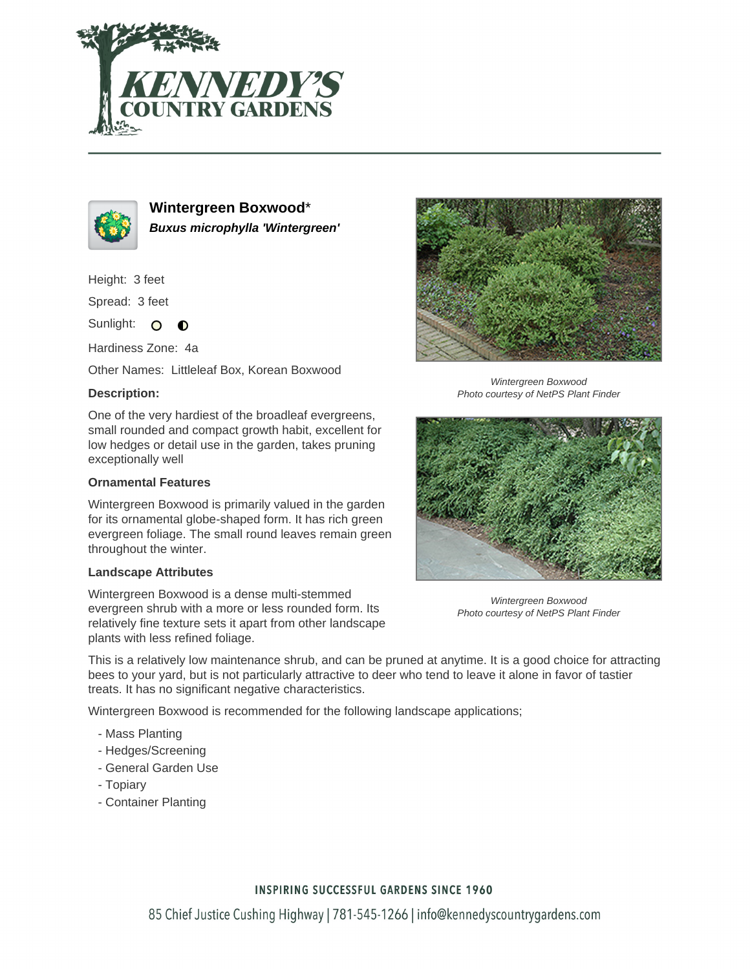



**Wintergreen Boxwood**\* **Buxus microphylla 'Wintergreen'**

Height: 3 feet

Spread: 3 feet

Sunlight: O  $\bullet$ 

Hardiness Zone: 4a

Other Names: Littleleaf Box, Korean Boxwood

## **Description:**

One of the very hardiest of the broadleaf evergreens, small rounded and compact growth habit, excellent for low hedges or detail use in the garden, takes pruning exceptionally well

### **Ornamental Features**

Wintergreen Boxwood is primarily valued in the garden for its ornamental globe-shaped form. It has rich green evergreen foliage. The small round leaves remain green throughout the winter.

#### **Landscape Attributes**

Wintergreen Boxwood is a dense multi-stemmed evergreen shrub with a more or less rounded form. Its relatively fine texture sets it apart from other landscape plants with less refined foliage.



Wintergreen Boxwood Photo courtesy of NetPS Plant Finder



Wintergreen Boxwood Photo courtesy of NetPS Plant Finder

This is a relatively low maintenance shrub, and can be pruned at anytime. It is a good choice for attracting bees to your yard, but is not particularly attractive to deer who tend to leave it alone in favor of tastier treats. It has no significant negative characteristics.

Wintergreen Boxwood is recommended for the following landscape applications;

- Mass Planting
- Hedges/Screening
- General Garden Use
- Topiary
- Container Planting

## **INSPIRING SUCCESSFUL GARDENS SINCE 1960**